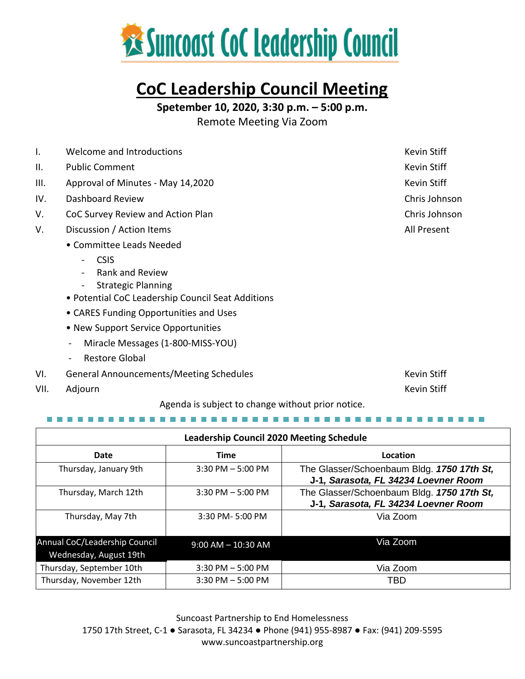

### **CoC Leadership Council Meeting**

**Spetember 10, 2020, 3:30 p.m. – 5:00 p.m.**

Remote Meeting Via Zoom

| Ι.   | Welcome and Introductions                         | <b>Kevin Stiff</b> |
|------|---------------------------------------------------|--------------------|
| Ш.   | <b>Public Comment</b>                             | Kevin Stiff        |
| III. | Approval of Minutes - May 14,2020                 | Kevin Stiff        |
| IV.  | Dashboard Review                                  | Chris Johnson      |
| V.   | CoC Survey Review and Action Plan                 | Chris Johnson      |
| V.   | Discussion / Action Items                         | All Present        |
|      | • Committee Leads Needed                          |                    |
|      | <b>CSIS</b><br>$\blacksquare$                     |                    |
|      | <b>Rank and Review</b>                            |                    |
|      | <b>Strategic Planning</b><br>$\blacksquare$       |                    |
|      | • Potential CoC Leadership Council Seat Additions |                    |
|      | • CARES Funding Opportunities and Uses            |                    |
|      | • New Support Service Opportunities               |                    |
|      | Miracle Messages (1-800-MISS-YOU)<br>-            |                    |
|      | <b>Restore Global</b><br>Ξ.                       |                    |
| VI.  | <b>General Announcements/Meeting Schedules</b>    | <b>Kevin Stiff</b> |

VII. Adjourn

Agenda is subject to change without prior notice.

Kevin Stiff

| <b>Leadership Council 2020 Meeting Schedule</b>         |                        |                                                                                    |  |  |
|---------------------------------------------------------|------------------------|------------------------------------------------------------------------------------|--|--|
| Date                                                    | <b>Time</b>            | Location                                                                           |  |  |
| Thursday, January 9th                                   | $3:30$ PM $-5:00$ PM   | The Glasser/Schoenbaum Bldg. 1750 17th St,<br>J-1, Sarasota, FL 34234 Loevner Room |  |  |
| Thursday, March 12th                                    | $3:30$ PM $-5:00$ PM   | The Glasser/Schoenbaum Bldg. 1750 17th St,<br>J-1, Sarasota, FL 34234 Loevner Room |  |  |
| Thursday, May 7th                                       | 3:30 PM-5:00 PM        | Via Zoom                                                                           |  |  |
| Annual CoC/Leadership Council<br>Wednesday, August 19th | $9:00$ AM $- 10:30$ AM | Via Zoom                                                                           |  |  |
| Thursday, September 10th                                | $3:30$ PM $-5:00$ PM   | Via Zoom                                                                           |  |  |
| Thursday, November 12th                                 | $3:30$ PM $-5:00$ PM   | TBD                                                                                |  |  |

Suncoast Partnership to End Homelessness 1750 17th Street, C-1 ● Sarasota, FL 34234 ● Phone (941) 955-8987 ● Fax: (941) 209-5595 www.suncoastpartnership.org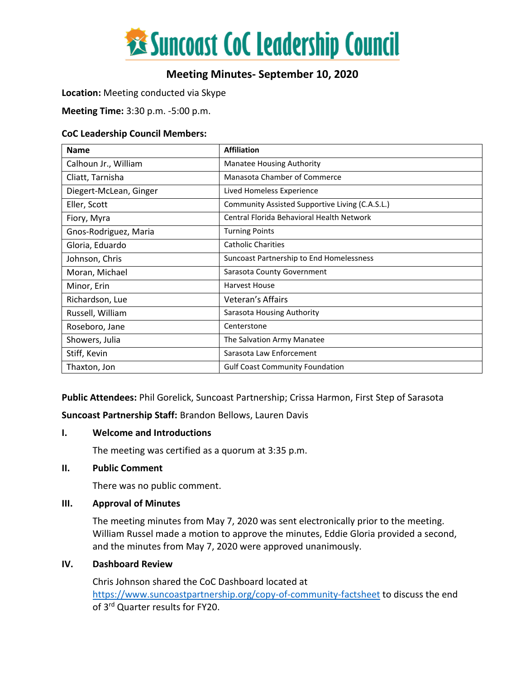

### **Meeting Minutes- September 10, 2020**

#### **Location:** Meeting conducted via Skype

**Meeting Time:** 3:30 p.m. -5:00 p.m.

#### **CoC Leadership Council Members:**

| <b>Name</b>            | <b>Affiliation</b>                              |
|------------------------|-------------------------------------------------|
| Calhoun Jr., William   | <b>Manatee Housing Authority</b>                |
| Cliatt, Tarnisha       | <b>Manasota Chamber of Commerce</b>             |
| Diegert-McLean, Ginger | Lived Homeless Experience                       |
| Eller, Scott           | Community Assisted Supportive Living (C.A.S.L.) |
| Fiory, Myra            | Central Florida Behavioral Health Network       |
| Gnos-Rodriguez, Maria  | <b>Turning Points</b>                           |
| Gloria, Eduardo        | <b>Catholic Charities</b>                       |
| Johnson, Chris         | Suncoast Partnership to End Homelessness        |
| Moran, Michael         | Sarasota County Government                      |
| Minor, Erin            | <b>Harvest House</b>                            |
| Richardson, Lue        | Veteran's Affairs                               |
| Russell, William       | Sarasota Housing Authority                      |
| Roseboro, Jane         | Centerstone                                     |
| Showers, Julia         | The Salvation Army Manatee                      |
| Stiff, Kevin           | Sarasota Law Enforcement                        |
| Thaxton, Jon           | <b>Gulf Coast Community Foundation</b>          |

**Public Attendees:** Phil Gorelick, Suncoast Partnership; Crissa Harmon, First Step of Sarasota

**Suncoast Partnership Staff:** Brandon Bellows, Lauren Davis

#### **I. Welcome and Introductions**

The meeting was certified as a quorum at 3:35 p.m.

#### **II. Public Comment**

There was no public comment.

#### **III. Approval of Minutes**

The meeting minutes from May 7, 2020 was sent electronically prior to the meeting. William Russel made a motion to approve the minutes, Eddie Gloria provided a second, and the minutes from May 7, 2020 were approved unanimously.

#### **IV. Dashboard Review**

Chris Johnson shared the CoC Dashboard located at <https://www.suncoastpartnership.org/copy-of-community-factsheet> to discuss the end of 3rd Quarter results for FY20.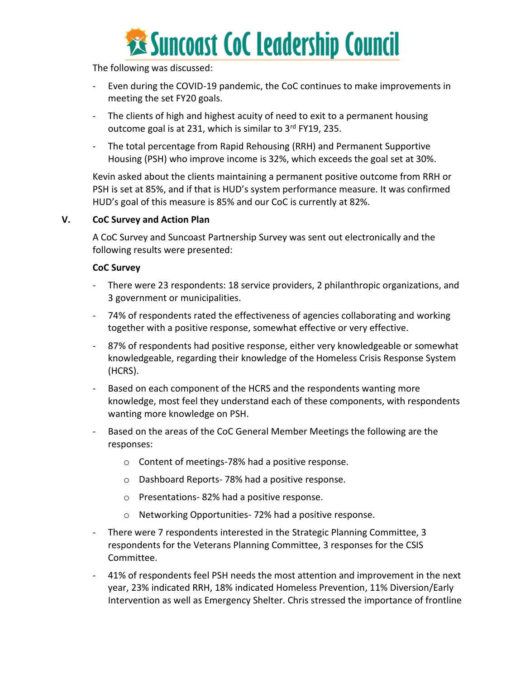

The following was discussed:

- Even during the COVID-19 pandemic, the CoC continues to make improvements in meeting the set FY20 goals.
- The clients of high and highest acuity of need to exit to a permanent housing outcome goal is at 231, which is similar to 3<sup>rd</sup> FY19, 235.
- The total percentage from Rapid Rehousing (RRH) and Permanent Supportive Housing (PSH) who improve income is 32%, which exceeds the goal set at 30%.

Kevin asked about the clients maintaining a permanent positive outcome from RRH or PSH is set at 85%, and if that is HUD's system performance measure. It was confirmed HUD's goal of this measure is 85% and our CoC is currently at 82%.

#### **V. CoC Survey and Action Plan**

A CoC Survey and Suncoast Partnership Survey was sent out electronically and the following results were presented:

#### **CoC Survey**

- There were 23 respondents: 18 service providers, 2 philanthropic organizations, and 3 government or municipalities.
- 74% of respondents rated the effectiveness of agencies collaborating and working together with a positive response, somewhat effective or very effective.
- 87% of respondents had positive response, either very knowledgeable or somewhat knowledgeable, regarding their knowledge of the Homeless Crisis Response System (HCRS).
- Based on each component of the HCRS and the respondents wanting more knowledge, most feel they understand each of these components, with respondents wanting more knowledge on PSH.
- Based on the areas of the CoC General Member Meetings the following are the responses:
	- o Content of meetings-78% had a positive response.
	- o Dashboard Reports- 78% had a positive response.
	- o Presentations- 82% had a positive response.
	- o Networking Opportunities- 72% had a positive response.
- There were 7 respondents interested in the Strategic Planning Committee, 3 respondents for the Veterans Planning Committee, 3 responses for the CSIS Committee.
- 41% of respondents feel PSH needs the most attention and improvement in the next year, 23% indicated RRH, 18% indicated Homeless Prevention, 11% Diversion/Early Intervention as well as Emergency Shelter. Chris stressed the importance of frontline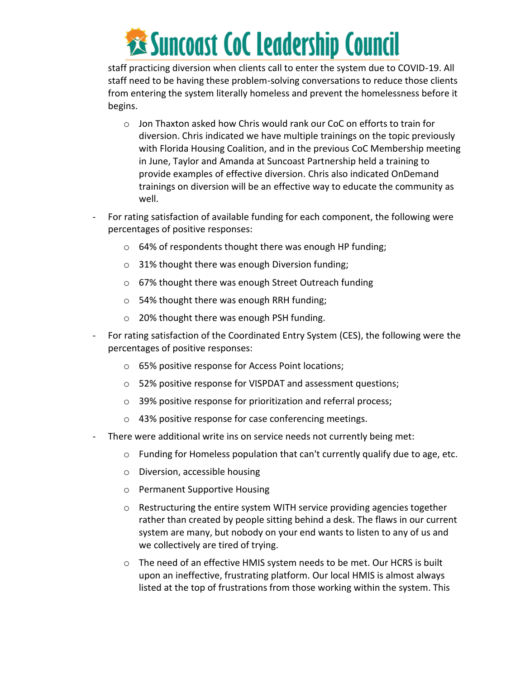# **Examples 18 Suncoast CoC Leadership Council**

staff practicing diversion when clients call to enter the system due to COVID-19. All staff need to be having these problem-solving conversations to reduce those clients from entering the system literally homeless and prevent the homelessness before it begins.

- o Jon Thaxton asked how Chris would rank our CoC on efforts to train for diversion. Chris indicated we have multiple trainings on the topic previously with Florida Housing Coalition, and in the previous CoC Membership meeting in June, Taylor and Amanda at Suncoast Partnership held a training to provide examples of effective diversion. Chris also indicated OnDemand trainings on diversion will be an effective way to educate the community as well.
- For rating satisfaction of available funding for each component, the following were percentages of positive responses:
	- o 64% of respondents thought there was enough HP funding;
	- o 31% thought there was enough Diversion funding;
	- o 67% thought there was enough Street Outreach funding
	- o 54% thought there was enough RRH funding;
	- o 20% thought there was enough PSH funding.
- For rating satisfaction of the Coordinated Entry System (CES), the following were the percentages of positive responses:
	- o 65% positive response for Access Point locations;
	- o 52% positive response for VISPDAT and assessment questions;
	- o 39% positive response for prioritization and referral process;
	- o 43% positive response for case conferencing meetings.
- There were additional write ins on service needs not currently being met:
	- o Funding for Homeless population that can't currently qualify due to age, etc.
	- o Diversion, accessible housing
	- o Permanent Supportive Housing
	- $\circ$  Restructuring the entire system WITH service providing agencies together rather than created by people sitting behind a desk. The flaws in our current system are many, but nobody on your end wants to listen to any of us and we collectively are tired of trying.
	- o The need of an effective HMIS system needs to be met. Our HCRS is built upon an ineffective, frustrating platform. Our local HMIS is almost always listed at the top of frustrations from those working within the system. This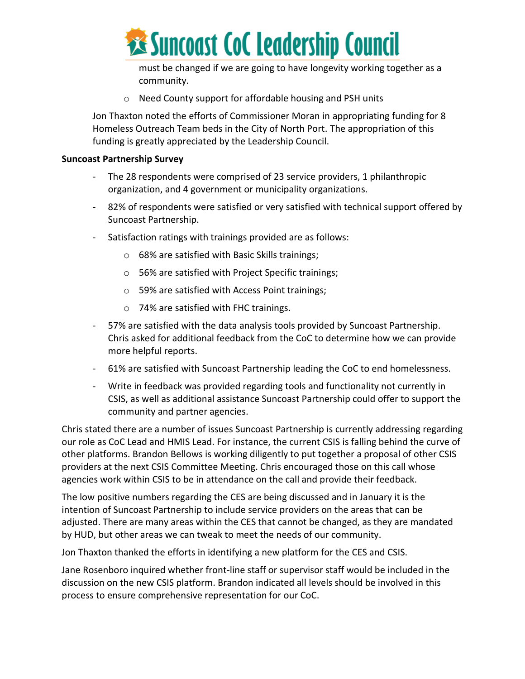

must be changed if we are going to have longevity working together as a community.

o Need County support for affordable housing and PSH units

Jon Thaxton noted the efforts of Commissioner Moran in appropriating funding for 8 Homeless Outreach Team beds in the City of North Port. The appropriation of this funding is greatly appreciated by the Leadership Council.

#### **Suncoast Partnership Survey**

- The 28 respondents were comprised of 23 service providers, 1 philanthropic organization, and 4 government or municipality organizations.
- 82% of respondents were satisfied or very satisfied with technical support offered by Suncoast Partnership.
- Satisfaction ratings with trainings provided are as follows:
	- o 68% are satisfied with Basic Skills trainings;
	- o 56% are satisfied with Project Specific trainings;
	- o 59% are satisfied with Access Point trainings;
	- o 74% are satisfied with FHC trainings.
- 57% are satisfied with the data analysis tools provided by Suncoast Partnership. Chris asked for additional feedback from the CoC to determine how we can provide more helpful reports.
- 61% are satisfied with Suncoast Partnership leading the CoC to end homelessness.
- Write in feedback was provided regarding tools and functionality not currently in CSIS, as well as additional assistance Suncoast Partnership could offer to support the community and partner agencies.

Chris stated there are a number of issues Suncoast Partnership is currently addressing regarding our role as CoC Lead and HMIS Lead. For instance, the current CSIS is falling behind the curve of other platforms. Brandon Bellows is working diligently to put together a proposal of other CSIS providers at the next CSIS Committee Meeting. Chris encouraged those on this call whose agencies work within CSIS to be in attendance on the call and provide their feedback.

The low positive numbers regarding the CES are being discussed and in January it is the intention of Suncoast Partnership to include service providers on the areas that can be adjusted. There are many areas within the CES that cannot be changed, as they are mandated by HUD, but other areas we can tweak to meet the needs of our community.

Jon Thaxton thanked the efforts in identifying a new platform for the CES and CSIS.

Jane Rosenboro inquired whether front-line staff or supervisor staff would be included in the discussion on the new CSIS platform. Brandon indicated all levels should be involved in this process to ensure comprehensive representation for our CoC.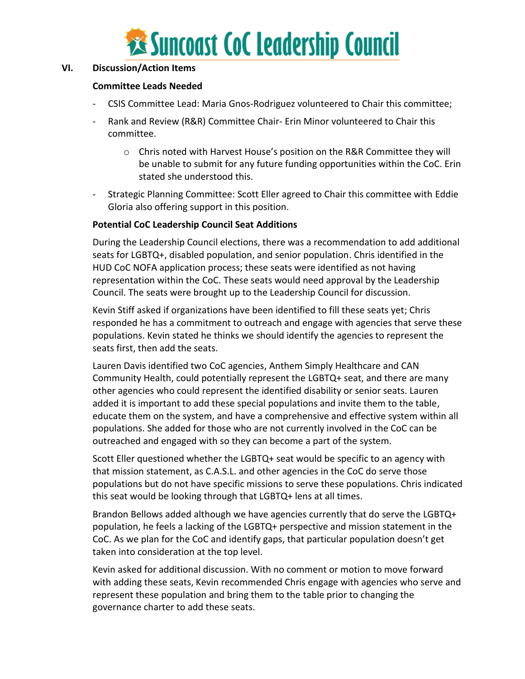

#### **VI. Discussion/Action Items**

#### **Committee Leads Needed**

- CSIS Committee Lead: Maria Gnos-Rodriguez volunteered to Chair this committee;
- Rank and Review (R&R) Committee Chair- Erin Minor volunteered to Chair this committee.
	- o Chris noted with Harvest House's position on the R&R Committee they will be unable to submit for any future funding opportunities within the CoC. Erin stated she understood this.
- Strategic Planning Committee: Scott Eller agreed to Chair this committee with Eddie Gloria also offering support in this position.

#### **Potential CoC Leadership Council Seat Additions**

During the Leadership Council elections, there was a recommendation to add additional seats for LGBTQ+, disabled population, and senior population. Chris identified in the HUD CoC NOFA application process; these seats were identified as not having representation within the CoC. These seats would need approval by the Leadership Council. The seats were brought up to the Leadership Council for discussion.

Kevin Stiff asked if organizations have been identified to fill these seats yet; Chris responded he has a commitment to outreach and engage with agencies that serve these populations. Kevin stated he thinks we should identify the agencies to represent the seats first, then add the seats.

Lauren Davis identified two CoC agencies, Anthem Simply Healthcare and CAN Community Health, could potentially represent the LGBTQ+ seat, and there are many other agencies who could represent the identified disability or senior seats. Lauren added it is important to add these special populations and invite them to the table, educate them on the system, and have a comprehensive and effective system within all populations. She added for those who are not currently involved in the CoC can be outreached and engaged with so they can become a part of the system.

Scott Eller questioned whether the LGBTQ+ seat would be specific to an agency with that mission statement, as C.A.S.L. and other agencies in the CoC do serve those populations but do not have specific missions to serve these populations. Chris indicated this seat would be looking through that LGBTQ+ lens at all times.

Brandon Bellows added although we have agencies currently that do serve the LGBTQ+ population, he feels a lacking of the LGBTQ+ perspective and mission statement in the CoC. As we plan for the CoC and identify gaps, that particular population doesn't get taken into consideration at the top level.

Kevin asked for additional discussion. With no comment or motion to move forward with adding these seats, Kevin recommended Chris engage with agencies who serve and represent these population and bring them to the table prior to changing the governance charter to add these seats.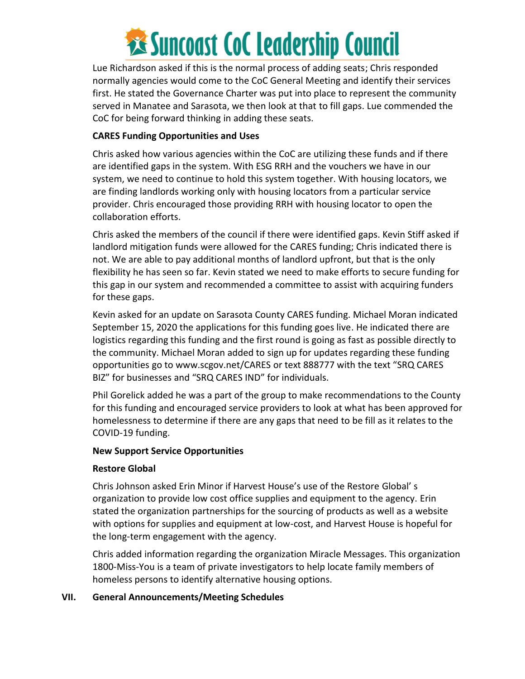## **Examples 18 Suncoast CoC Leadership Council**

Lue Richardson asked if this is the normal process of adding seats; Chris responded normally agencies would come to the CoC General Meeting and identify their services first. He stated the Governance Charter was put into place to represent the community served in Manatee and Sarasota, we then look at that to fill gaps. Lue commended the CoC for being forward thinking in adding these seats.

#### **CARES Funding Opportunities and Uses**

Chris asked how various agencies within the CoC are utilizing these funds and if there are identified gaps in the system. With ESG RRH and the vouchers we have in our system, we need to continue to hold this system together. With housing locators, we are finding landlords working only with housing locators from a particular service provider. Chris encouraged those providing RRH with housing locator to open the collaboration efforts.

Chris asked the members of the council if there were identified gaps. Kevin Stiff asked if landlord mitigation funds were allowed for the CARES funding; Chris indicated there is not. We are able to pay additional months of landlord upfront, but that is the only flexibility he has seen so far. Kevin stated we need to make efforts to secure funding for this gap in our system and recommended a committee to assist with acquiring funders for these gaps.

Kevin asked for an update on Sarasota County CARES funding. Michael Moran indicated September 15, 2020 the applications for this funding goes live. He indicated there are logistics regarding this funding and the first round is going as fast as possible directly to the community. Michael Moran added to sign up for updates regarding these funding opportunities go to www.scgov.net/CARES or text 888777 with the text "SRQ CARES BIZ" for businesses and "SRQ CARES IND" for individuals.

Phil Gorelick added he was a part of the group to make recommendations to the County for this funding and encouraged service providers to look at what has been approved for homelessness to determine if there are any gaps that need to be fill as it relates to the COVID-19 funding.

#### **New Support Service Opportunities**

#### **Restore Global**

Chris Johnson asked Erin Minor if Harvest House's use of the Restore Global' s organization to provide low cost office supplies and equipment to the agency. Erin stated the organization partnerships for the sourcing of products as well as a website with options for supplies and equipment at low-cost, and Harvest House is hopeful for the long-term engagement with the agency.

Chris added information regarding the organization Miracle Messages. This organization 1800-Miss-You is a team of private investigators to help locate family members of homeless persons to identify alternative housing options.

#### **VII. General Announcements/Meeting Schedules**